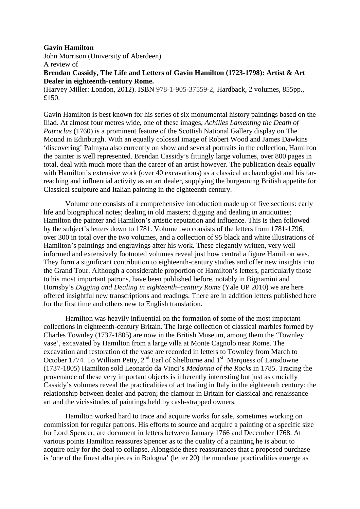## **Gavin Hamilton**

John Morrison (University of Aberdeen) A review of

**Brendan Cassidy, The Life and Letters of Gavin Hamilton (1723-1798): Artist & Art Dealer in eighteenth-century Rome.** 

(Harvey Miller: London, 2012). ISBN 978-1-905-37559-2, Hardback, 2 volumes, 855pp., £150.

Gavin Hamilton is best known for his series of six monumental history paintings based on the Iliad. At almost four metres wide, one of these images, *Achilles Lamenting the Death of Patroclus* (1760) is a prominent feature of the Scottish National Gallery display on The Mound in Edinburgh. With an equally colossal image of Robert Wood and James Dawkins 'discovering' Palmyra also currently on show and several portraits in the collection, Hamilton the painter is well represented. Brendan Cassidy's fittingly large volumes, over 800 pages in total, deal with much more than the career of an artist however. The publication deals equally with Hamilton's extensive work (over 40 excavations) as a classical archaeologist and his farreaching and influential activity as an art dealer, supplying the burgeoning British appetite for Classical sculpture and Italian painting in the eighteenth century.

 Volume one consists of a comprehensive introduction made up of five sections: early life and biographical notes; dealing in old masters; digging and dealing in antiquities; Hamilton the painter and Hamilton's artistic reputation and influence. This is then followed by the subject's letters down to 1781. Volume two consists of the letters from 1781-1796, over 300 in total over the two volumes, and a collection of 95 black and white illustrations of Hamilton's paintings and engravings after his work. These elegantly written, very well informed and extensively footnoted volumes reveal just how central a figure Hamilton was. They form a significant contribution to eighteenth-century studies and offer new insights into the Grand Tour. Although a considerable proportion of Hamilton's letters, particularly those to his most important patrons, have been published before, notably in Bignamini and Hornsby's *Digging and Dealing in eighteenth–century Rome* (Yale UP 2010) we are here offered insightful new transcriptions and readings. There are in addition letters published here for the first time and others new to English translation.

 Hamilton was heavily influential on the formation of some of the most important collections in eighteenth-century Britain. The large collection of classical marbles formed by Charles Townley (1737-1805) are now in the British Museum, among them the 'Townley vase', excavated by Hamilton from a large villa at Monte Cagnolo near Rome. The excavation and restoration of the vase are recorded in letters to Townley from March to October 1774. To William Petty,  $2<sup>nd</sup>$  Earl of Shelburne and  $1<sup>st</sup>$  Marquess of Lansdowne (1737-1805) Hamilton sold Leonardo da Vinci's *Madonna of the Rocks* in 1785. Tracing the provenance of these very important objects is inherently interesting but just as crucially Cassidy's volumes reveal the practicalities of art trading in Italy in the eighteenth century: the relationship between dealer and patron; the clamour in Britain for classical and renaissance art and the vicissitudes of paintings held by cash-strapped owners.

 Hamilton worked hard to trace and acquire works for sale, sometimes working on commission for regular patrons. His efforts to source and acquire a painting of a specific size for Lord Spencer, are document in letters between January 1766 and December 1768. At various points Hamilton reassures Spencer as to the quality of a painting he is about to acquire only for the deal to collapse. Alongside these reassurances that a proposed purchase is 'one of the finest altarpieces in Bologna' (letter 20) the mundane practicalities emerge as